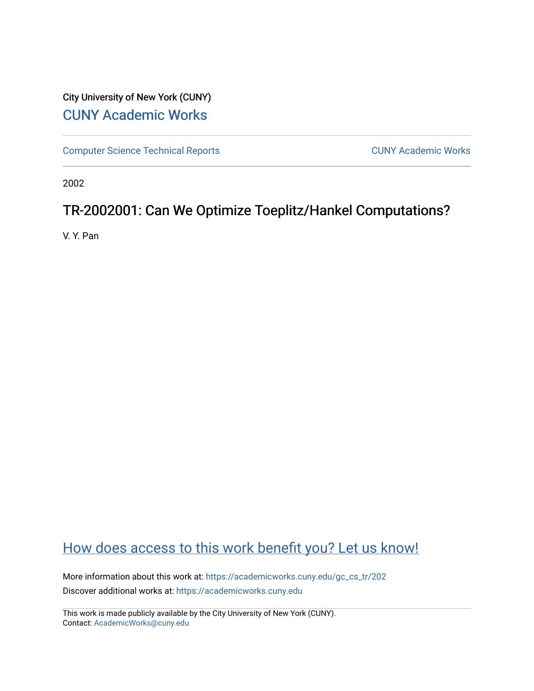# City University of New York (CUNY) [CUNY Academic Works](https://academicworks.cuny.edu/)

[Computer Science Technical Reports](https://academicworks.cuny.edu/gc_cs_tr) **CUNY Academic Works** CUNY Academic Works

2002

# TR-2002001: Can We Optimize Toeplitz/Hankel Computations?

V. Y. Pan

# [How does access to this work benefit you? Let us know!](http://ols.cuny.edu/academicworks/?ref=https://academicworks.cuny.edu/gc_cs_tr/202)

More information about this work at: [https://academicworks.cuny.edu/gc\\_cs\\_tr/202](https://academicworks.cuny.edu/gc_cs_tr/202)  Discover additional works at: [https://academicworks.cuny.edu](https://academicworks.cuny.edu/?)

This work is made publicly available by the City University of New York (CUNY). Contact: [AcademicWorks@cuny.edu](mailto:AcademicWorks@cuny.edu)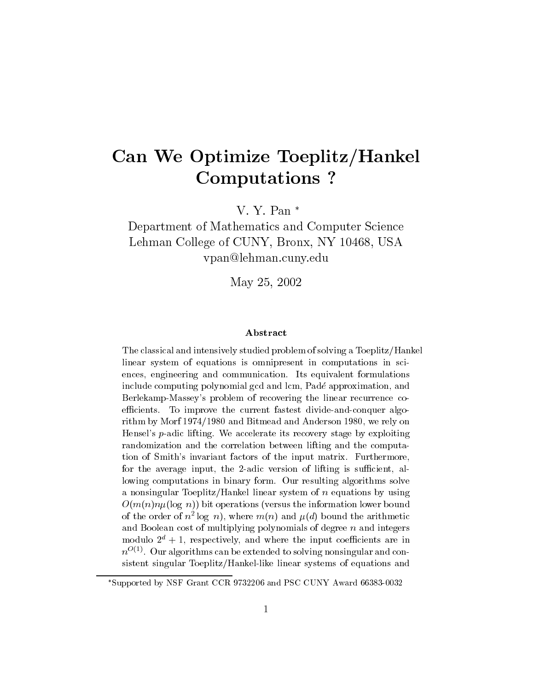# Can We Optimize Toeplitz/Hankel **Computations?**

V. Y. Pan $*$ 

Department of Mathematics and Computer Science Lehman College of CUNY, Bronx, NY 10468, USA ypan@lehman.cuny.edu

May 25, 2002

### Abstract

The classical and intensively studied problem of solving a Toeplitz/Hankel linear system of equations is omnipresent in computations in sciences, engineering and communication. Its equivalent formulations include computing polynomial gcd and lcm, Padé approximation, and Berlekamp-Massey's problem of recovering the linear recurrence coefficients. To improve the current fastest divide-and-conquer algorithm by Morf 1974/1980 and Bitmead and Anderson 1980, we rely on Hensel's  $p$ -adic lifting. We accelerate its recovery stage by exploiting randomization and the correlation between lifting and the computation of Smith's invariant factors of the input matrix. Furthermore, for the average input, the 2-adic version of lifting is sufficient, allowing computations in binary form. Our resulting algorithms solve a nonsingular Toeplitz/Hankel linear system of  $n$  equations by using  $O(m(n)n\mu(\log n))$  bit operations (versus the information lower bound of the order of  $n^2 \log n$ , where  $m(n)$  and  $\mu(d)$  bound the arithmetic and Boolean cost of multiplying polynomials of degree  $n$  and integers modulo  $2^d + 1$ , respectively, and where the input coefficients are in  $n^{O(1)}$ . Our algorithms can be extended to solving nonsingular and consistent singular Toeplitz/Hankel-like linear systems of equations and

<sup>\*</sup>Supported by NSF Grant CCR 9732206 and PSC CUNY Award 66383-0032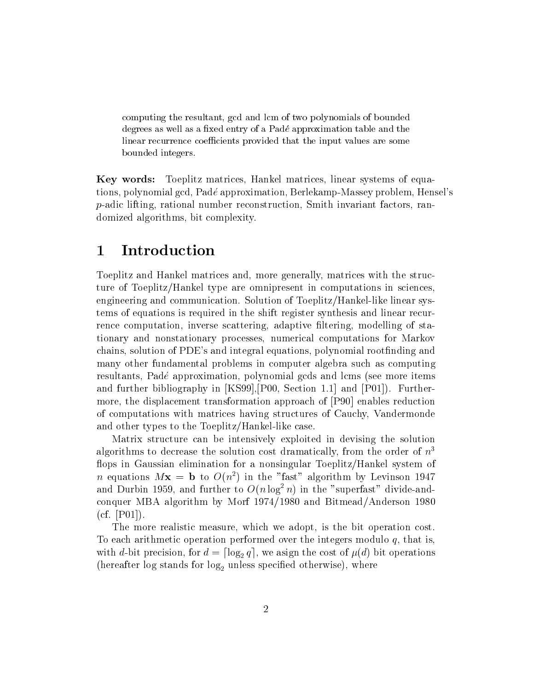computing the resultant, gcd and lcm of two polynomials of bounded degrees as well as a fixed entry of a Padé approximation table and the linear recurrence coefficients provided that the input values are some bounded integers.

**Key words:** Toeplitz matrices, Hankel matrices, linear systems of equations, polynomial gcd, Padé approximation, Berlekamp-Massey problem, Hensel's  $p$ -adic lifting, rational number reconstruction, Smith invariant factors, randomized algorithms, bit complexity.

### $\mathbf{1}$ Introduction

Toeplitz and Hankel matrices and, more generally, matrices with the structure of Toeplitz/Hankel type are omnipresent in computations in sciences. engineering and communication. Solution of Toeplitz/Hankel-like linear systems of equations is required in the shift register synthesis and linear recurrence computation, inverse scattering, adaptive filtering, modelling of stationary and nonstationary processes, numerical computations for Markov chains, solution of PDE's and integral equations, polynomial rootfinding and many other fundamental problems in computer algebra such as computing resultants, Padé approximation, polynomial gcds and lcms (see more items and further bibliography in [KS99], [P00, Section 1.1] and [P01]). Furthermore, the displacement transformation approach of [P90] enables reduction of computations with matrices having structures of Cauchy, Vandermonde and other types to the Toeplitz/Hankel-like case.

Matrix structure can be intensively exploited in devising the solution algorithms to decrease the solution cost dramatically, from the order of  $n<sup>3</sup>$ flops in Gaussian elimination for a nonsingular Toeplitz/Hankel system of *n* equations  $Mx = b$  to  $O(n^2)$  in the "fast" algorithm by Levinson 1947 and Durbin 1959, and further to  $O(n \log^2 n)$  in the "superfast" divide-andconquer MBA algorithm by Morf 1974/1980 and Bitmead/Anderson 1980 (cf.  $[P01]$ ).

The more realistic measure, which we adopt, is the bit operation cost. To each arithmetic operation performed over the integers modulo  $q$ , that is. with d-bit precision, for  $d = \lceil \log_2 q \rceil$ , we asign the cost of  $\mu(d)$  bit operations (hereafter log stands for  $log_2$  unless specified otherwise), where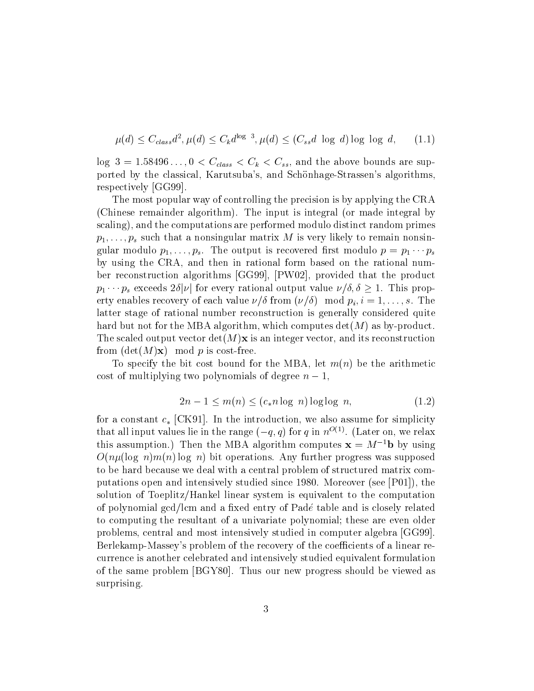$$
\mu(d) \le C_{class}d^2, \mu(d) \le C_k d^{\log 3}, \mu(d) \le (C_{ss}d \log d) \log \log d, \qquad (1.1)
$$

 $\log 3 = 1.58496..., 0 < C_{class} < C_k < C_{ss}$ , and the above bounds are supported by the classical, Karutsuba's, and Schönhage-Strassen's algorithms, respectively [GG99].

The most popular way of controlling the precision is by applying the CRA (Chinese remainder algorithm). The input is integral (or made integral by scaling), and the computations are performed modulo distinct random primes  $p_1, \ldots, p_s$  such that a nonsingular matrix M is very likely to remain nonsingular modulo  $p_1, \ldots, p_s$ . The output is recovered first modulo  $p = p_1 \cdots p_s$ by using the CRA, and then in rational form based on the rational number reconstruction algorithms [GG99], [PW02], provided that the product  $p_1 \cdots p_s$  exceeds  $2\delta|\nu|$  for every rational output value  $\nu/\delta, \delta \geq 1$ . This property enables recovery of each value  $\nu/\delta$  from  $(\nu/\delta)$  mod  $p_i, i = 1, \ldots, s$ . The latter stage of rational number reconstruction is generally considered quite hard but not for the MBA algorithm, which computes  $det(M)$  as by-product. The scaled output vector  $\det(M)\mathbf{x}$  is an integer vector, and its reconstruction from  $(\det(M)\mathbf{x})$  mod p is cost-free.

To specify the bit cost bound for the MBA, let  $m(n)$  be the arithmetic cost of multiplying two polynomials of degree  $n-1$ .

$$
2n - 1 \le m(n) \le (c_* n \log n) \log \log n,\tag{1.2}
$$

for a constant  $c_*$  [CK91]. In the introduction, we also assume for simplicity that all input values lie in the range  $(-q, q)$  for q in  $n^{O(1)}$ . (Later on, we relax this assumption.) Then the MBA algorithm computes  $x = M^{-1}b$  by using  $O(n\mu(\log n)m(n)\log n)$  bit operations. Any further progress was supposed to be hard because we deal with a central problem of structured matrix computations open and intensively studied since 1980. Moreover (see [P01]), the solution of Toeplitz/Hankel linear system is equivalent to the computation of polynomial gcd/lcm and a fixed entry of Padé table and is closely related to computing the resultant of a univariate polynomial; these are even older problems, central and most intensively studied in computer algebra [GG99]. Berlekamp-Massey's problem of the recovery of the coefficients of a linear recurrence is another celebrated and intensively studied equivalent formulation of the same problem [BGY80]. Thus our new progress should be viewed as surprising.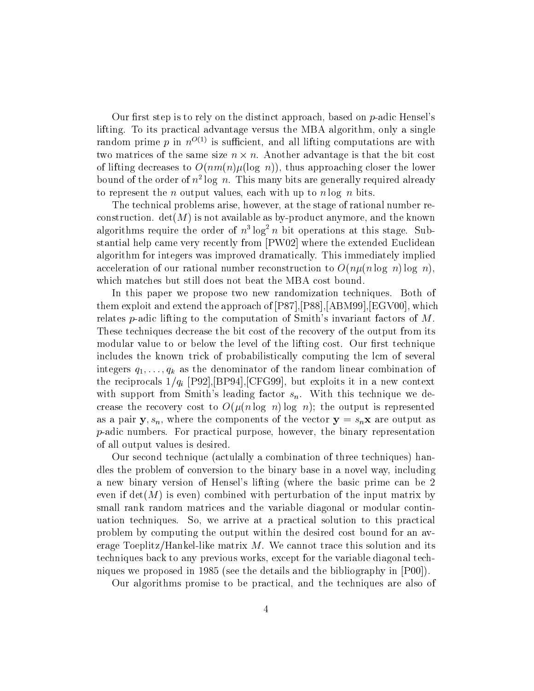Our first step is to rely on the distinct approach, based on  $p$ -adic Hensel's lifting. To its practical advantage versus the MBA algorithm, only a single random prime p in  $n^{O(1)}$  is sufficient, and all lifting computations are with two matrices of the same size  $n \times n$ . Another advantage is that the bit cost of lifting decreases to  $O(nm(n)\mu(\log n))$ , thus approaching closer the lower bound of the order of  $n^2 \log n$ . This many bits are generally required already to represent the *n* output values, each with up to *n* log *n* bits.

The technical problems arise, however, at the stage of rational number reconstruction.  $det(M)$  is not available as by-product anymore, and the known algorithms require the order of  $n^3 \log^2 n$  bit operations at this stage. Substantial help came very recently from [PW02] where the extended Euclidean algorithm for integers was improved dramatically. This immediately implied acceleration of our rational number reconstruction to  $O(n\mu(n \log n) \log n)$ . which matches but still does not beat the MBA cost bound.

In this paper we propose two new randomization techniques. Both of them exploit and extend the approach of [P87], [P88], [ABM99], [EGV00], which relates p-adic lifting to the computation of Smith's invariant factors of  $M$ . These techniques decrease the bit cost of the recovery of the output from its modular value to or below the level of the lifting cost. Our first technique includes the known trick of probabilistically computing the lcm of several integers  $q_1, \ldots, q_k$  as the denominator of the random linear combination of the reciprocals  $1/q_i$  [P92], [BP94], [CFG99], but exploits it in a new context with support from Smith's leading factor  $s_n$ . With this technique we decrease the recovery cost to  $O(\mu(n \log n) \log n)$ ; the output is represented as a pair  $y, s_n$ , where the components of the vector  $y = s_n x$  are output as  $p$ -adic numbers. For practical purpose, however, the binary representation of all output values is desired.

Our second technique (actulally a combination of three techniques) handles the problem of conversion to the binary base in a novel way, including a new binary version of Hensel's lifting (where the basic prime can be 2 even if  $det(M)$  is even) combined with perturbation of the input matrix by small rank random matrices and the variable diagonal or modular continuation techniques. So, we arrive at a practical solution to this practical problem by computing the output within the desired cost bound for an average Toeplitz/Hankel-like matrix  $M$ . We cannot trace this solution and its techniques back to any previous works, except for the variable diagonal techniques we proposed in 1985 (see the details and the bibliography in  $[PO0]$ ).

Our algorithms promise to be practical, and the techniques are also of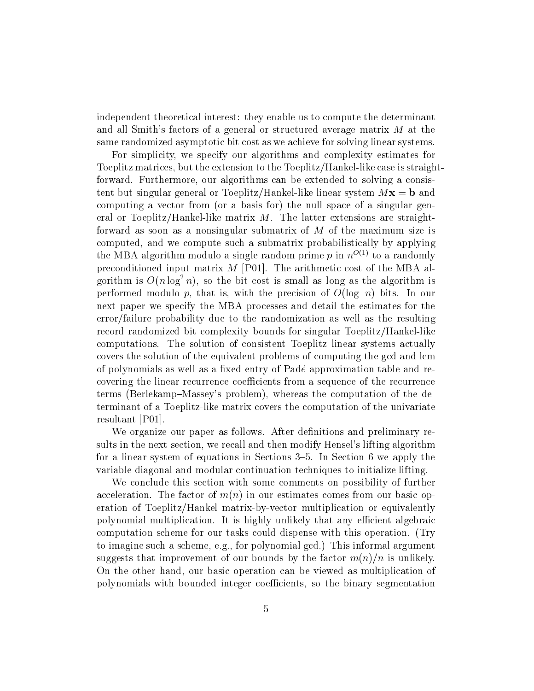independent theoretical interest: they enable us to compute the determinant and all Smith's factors of a general or structured average matrix  $M$  at the same randomized asymptotic bit cost as we achieve for solving linear systems.

For simplicity, we specify our algorithms and complexity estimates for Toeplitz matrices, but the extension to the Toeplitz/Hankel-like case is straightforward. Furthermore, our algorithms can be extended to solving a consistent but singular general or Toeplitz/Hankel-like linear system  $Mx = b$  and computing a vector from (or a basis for) the null space of a singular general or Toeplitz/Hankel-like matrix  $M$ . The latter extensions are straightforward as soon as a nonsingular submatrix of  $M$  of the maximum size is computed, and we compute such a submatrix probabilistically by applying the MBA algorithm modulo a single random prime p in  $n^{O(1)}$  to a randomly preconditioned input matrix  $M$  [P01]. The arithmetic cost of the MBA algorithm is  $O(n \log^2 n)$ , so the bit cost is small as long as the algorithm is performed modulo p, that is, with the precision of  $O(\log n)$  bits. In our next paper we specify the MBA processes and detail the estimates for the error/failure probability due to the randomization as well as the resulting record randomized bit complexity bounds for singular Toeplitz/Hankel-like computations. The solution of consistent Toeplitz linear systems actually covers the solution of the equivalent problems of computing the gcd and lcm of polynomials as well as a fixed entry of Padé approximation table and recovering the linear recurrence coefficients from a sequence of the recurrence terms (Berlekamp–Massey's problem), whereas the computation of the determinant of a Toeplitz-like matrix covers the computation of the univariate resultant [P01].

We organize our paper as follows. After definitions and preliminary results in the next section, we recall and then modify Hensel's lifting algorithm for a linear system of equations in Sections  $3-5$ . In Section 6 we apply the variable diagonal and modular continuation techniques to initialize lifting.

We conclude this section with some comments on possibility of further acceleration. The factor of  $m(n)$  in our estimates comes from our basic operation of Toeplitz/Hankel matrix-by-vector multiplication or equivalently polynomial multiplication. It is highly unlikely that any efficient algebraic computation scheme for our tasks could dispense with this operation. (Try to imagine such a scheme, e.g., for polynomial gcd.) This informal argument suggests that improvement of our bounds by the factor  $m(n)/n$  is unlikely. On the other hand, our basic operation can be viewed as multiplication of polynomials with bounded integer coefficients, so the binary segmentation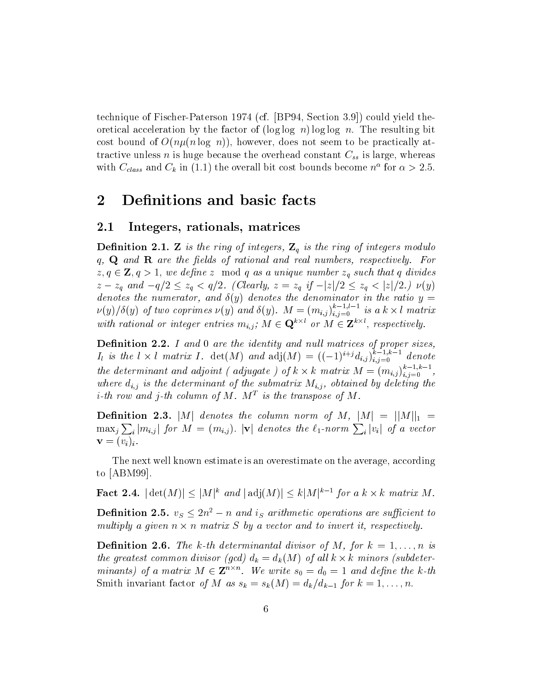technique of Fischer-Paterson 1974 (cf. [BP94, Section 3.9]) could yield theoridical acceleration by the factor of  $(\log \log n) \log \log n$ . The resulting bit cost bound of  $O(n\mu(n\log n))$ , however, does not seem to be practically attractive unless *n* is huge because the overhead constant  $C_{ss}$  is large, whereas with  $C_{class}$  and  $C_k$  in (1.1) the overall bit cost bounds become  $n^{\alpha}$  for  $\alpha > 2.5$ .

### $\overline{2}$ Definitions and basic facts

#### $2.1$ Integers, rationals, matrices

**Definition 2.1. Z** is the ring of integers,  $\mathbb{Z}_q$  is the ring of integers modulo  $q, Q$  and  $R$  are the fields of rational and real numbers, respectively. For  $z, q \in \mathbf{Z}, q > 1$ , we define z mod q as a unique number  $z_q$  such that q divides  $z - z_q$  and  $-q/2 \leq z_q < q/2$ . (Clearly,  $z = z_q$  if  $-|z|/2 \leq z_q < |z|/2$ .)  $\nu(y)$ denotes the numerator, and  $\delta(y)$  denotes the denominator in the ratio  $y =$  $\nu(y)/\delta(y)$  of two coprimes  $\nu(y)$  and  $\delta(y)$ .  $M = (m_{i,j})_{i,j=0}^{k-1,l-1}$  is a  $k \times l$  matrix with rational or integer entries  $m_{i,j}$ ;  $M \in \mathbf{Q}^{k \times l}$  or  $M \in \mathbf{Z}^{k \times l}$ , respectively.

**Definition 2.2.** I and 0 are the identity and null matrices of proper sizes,  $I_l$  is the  $l \times l$  matrix I. det(M) and  $\text{adj}(M) = ((-1)^{i+j} d_{i,j})_{i,j=0}^{k-1,k-1}$  denote the determinant and adjoint (adjugate) of  $k \times k$  matrix  $M = (m_{i,j})_{i,j=0}^{k-1,k-1}$ , where  $d_{i,j}$  is the determinant of the submatrix  $M_{i,j}$ , obtained by deleting the *i*-th row and *j*-th column of M.  $M<sup>T</sup>$  is the transpose of M.

**Definition 2.3.** |M| denotes the column norm of M,  $|M| = ||M||_1$  =  $\max_j \sum_i |m_{i,j}|$  for  $M = (m_{i,j})$ .  $|\mathbf{v}|$  denotes the  $\ell_1$ -norm  $\sum_i |v_i|$  of a vector  $\mathbf{v}=(v_i)_i.$ 

The next well known estimate is an overestimate on the average, according to  $[ABM99]$ .

**Fact 2.4.**  $|\det(M)| \leq |M|^k$  and  $|\det(M)| \leq k|M|^{k-1}$  for a  $k \times k$  matrix M.

**Definition 2.5.**  $v_S \leq 2n^2 - n$  and is arithmetic operations are sufficient to multiply a given  $n \times n$  matrix S by a vector and to invert it, respectively.

**Definition 2.6.** The k-th determinantal divisor of M, for  $k = 1, ..., n$  is the greatest common divisor (gcd)  $d_k = d_k(M)$  of all  $k \times k$  minors (subdeterminants) of a matrix  $M \in \mathbb{Z}^{n \times n}$ . We write  $s_0 = d_0 = 1$  and define the k-th Smith invariant factor of M as  $s_k = s_k(M) = d_k/d_{k-1}$  for  $k = 1, ..., n$ .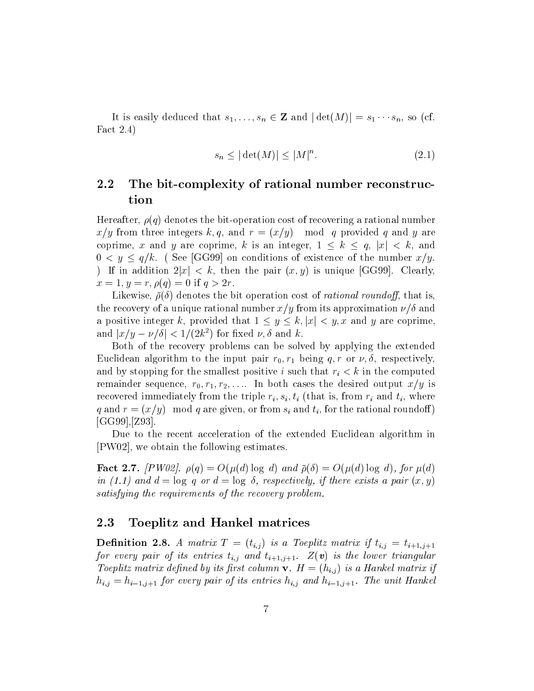It is easily deduced that  $s_1, \ldots, s_n \in \mathbb{Z}$  and  $|\det(M)| = s_1 \cdots s_n$ , so (cf. Fact  $2.4$ )

$$
s_n \le |\det(M)| \le |M|^n. \tag{2.1}
$$

### $2.2$ The bit-complexity of rational number reconstruction

Hereafter,  $\rho(q)$  denotes the bit-operation cost of recovering a rational number  $x/y$  from three integers k, q, and  $r = (x/y)$  mod q provided q and y are coprime, x and y are coprime, k is an integer,  $1 \leq k \leq q$ ,  $|x| < k$ , and  $0 < y \leq q/k$ . (See [GG99] on conditions of existence of the number  $x/y$ . ) If in addition  $2|x| < k$ , then the pair  $(x, y)$  is unique [GG99]. Clearly,  $x = 1, y = r, \rho(q) = 0$  if  $q > 2r$ .

Likewise,  $\bar{\rho}(\delta)$  denotes the bit operation cost of *rational roundoff*, that is, the recovery of a unique rational number  $x/y$  from its approximation  $\nu/\delta$  and a positive integer k, provided that  $1 \leq y \leq k, |x| < y$ , x and y are coprime, and  $|x/y - \nu/\delta| < 1/(2k^2)$  for fixed  $\nu, \delta$  and k.

Both of the recovery problems can be solved by applying the extended Euclidean algorithm to the input pair  $r_0, r_1$  being q, r or  $\nu, \delta$ , respectively, and by stopping for the smallest positive i such that  $r_i < k$  in the computed remainder sequence,  $r_0, r_1, r_2, \ldots$  In both cases the desired output  $x/y$  is recovered immediately from the triple  $r_i$ ,  $s_i$ ,  $t_i$  (that is, from  $r_i$  and  $t_i$ , where q and  $r = (x/y)$  mod q are given, or from  $s_i$  and  $t_i$ , for the rational roundoff)  $[GG99]$ , [Z93].

Due to the recent acceleration of the extended Euclidean algorithm in [PW02], we obtain the following estimates.

**Fact 2.7.** [PW02].  $\rho(q) = O(\mu(d) \log d)$  and  $\bar{\rho}(\delta) = O(\mu(d) \log d)$ , for  $\mu(d)$ in (1.1) and  $d = \log q$  or  $d = \log \delta$ , respectively, if there exists a pair  $(x, y)$ satisfying the requirements of the recovery problem.

#### 2.3 Toeplitz and Hankel matrices

**Definition 2.8.** A matrix  $T = (t_{i,j})$  is a Toeplitz matrix if  $t_{i,j} = t_{i+1,j+1}$ for every pair of its entries  $t_{i,j}$  and  $t_{i+1,j+1}$ .  $Z(\boldsymbol{v})$  is the lower triangular Toeplitz matrix defined by its first column  $\mathbf{v}$ .  $H = (h_{i,j})$  is a Hankel matrix if  $h_{i,j} = h_{i-1,j+1}$  for every pair of its entries  $h_{i,j}$  and  $h_{i-1,j+1}$ . The unit Hankel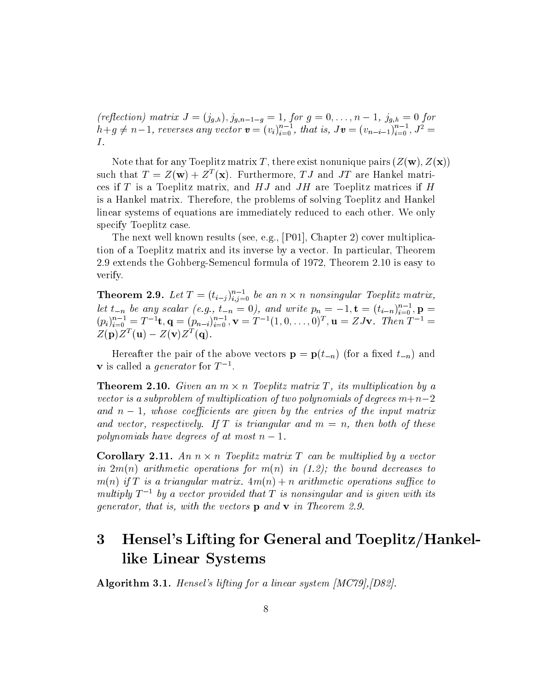(reflection) matrix  $J = (j_{g,h})$ ,  $j_{g,n-1-g} = 1$ , for  $g = 0, ..., n-1$ ,  $j_{g,h} = 0$  for  $h+g \neq n-1$ , reverses any vector  $\mathbf{v} = (v_i)_{i=0}^{n-1}$ , that is,  $J\mathbf{v} = (v_{n-i-1})_{i=0}^{n-1}$ ,  $J^2 =$  $I.$ 

Note that for any Toeplitz matrix T, there exist nonunique pairs  $(Z(\mathbf{w}), Z(\mathbf{x}))$ such that  $T = Z(\mathbf{w}) + Z^{T}(\mathbf{x})$ . Furthermore, TJ and JT are Hankel matrices if  $T$  is a Toeplitz matrix, and  $HJ$  and  $JH$  are Toeplitz matrices if  $H$ is a Hankel matrix. Therefore, the problems of solving Toeplitz and Hankel linear systems of equations are immediately reduced to each other. We only specify Toeplitz case.

The next well known results (see, e.g., [P01], Chapter 2) cover multiplication of a Toeplitz matrix and its inverse by a vector. In particular, Theorem 2.9 extends the Gohberg-Semencul formula of 1972, Theorem 2.10 is easy to verify.

**Theorem 2.9.** Let  $T = (t_{i-j})_{i,j=0}^{n-1}$  be an  $n \times n$  nonsingular Toeplitz matrix, let  $t_{-n}$  be any scalar (e.g.,  $t_{-n} = 0$ ), and write  $p_n = -1$ ,  $\mathbf{t} = (t_{i-n})_{i=0}^{n-1}$ ,  $\mathbf{p} = (p_i)_{i=0}^{n-1} = T^{-1}\mathbf{t}$ ,  $\mathbf{q} = (p_{n-i})_{i=0}^{n-1}$ ,  $\mathbf{v} = T^{-1}(1, 0, \ldots, 0)^T$ ,  $\mathbf{u} = ZJ\mathbf{v}$ . Then  $T^{-1} =$  $Z(\mathbf{p})Z^{T}(\mathbf{u}) - Z(\mathbf{v})Z^{T}(\mathbf{q}).$ 

Hereafter the pair of the above vectors  $\mathbf{p} = \mathbf{p}(t_{-n})$  (for a fixed  $t_{-n}$ ) and **v** is called a *generator* for  $T^{-1}$ .

**Theorem 2.10.** Given an  $m \times n$  Toeplitz matrix T, its multiplication by a vector is a subproblem of multiplication of two polynomials of degrees  $m+n-2$ and  $n-1$ , whose coefficients are given by the entries of the input matrix and vector, respectively. If T is triangular and  $m = n$ , then both of these polynomials have degrees of at most  $n-1$ .

**Corollary 2.11.** An  $n \times n$  Toeplitz matrix T can be multiplied by a vector in  $2m(n)$  arithmetic operations for  $m(n)$  in (1.2); the bound decreases to  $m(n)$  if T is a triangular matrix.  $4m(n) + n$  arithmetic operations suffice to multiply  $T^{-1}$  by a vector provided that T is nonsingular and is given with its *generator, that is, with the vectors*  $\bf{p}$  and  $\bf{v}$  in Theorem 2.9.

## Hensel's Lifting for General and Toeplitz/Hankel- $\overline{3}$ like Linear Systems

**Algorithm 3.1.** Hensel's lifting for a linear system  $[MC79], [D82].$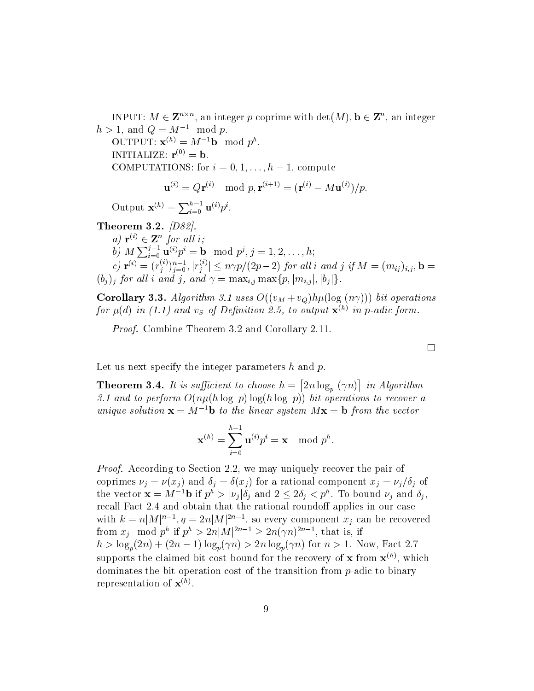INPUT:  $M \in \mathbb{Z}^{n \times n}$ , an integer p coprime with  $\det(M)$ ,  $\mathbf{b} \in \mathbb{Z}^n$ , an integer  $h > 1$ , and  $Q = M^{-1} \mod p$ .

OUTPUT:  $\mathbf{x}^{(h)} = M^{-1} \mathbf{b} \mod p^h$ . INITIALIZE:  $\mathbf{r}^{(0)} = \mathbf{b}$ . COMPUTATIONS: for  $i = 0, 1, ..., h - 1$ , compute

$$
\mathbf{u}^{(i)} = Q\mathbf{r}^{(i)} \mod p, \mathbf{r}^{(i+1)} = (\mathbf{r}^{(i)} - M\mathbf{u}^{(i)})/p.
$$

Output  $\mathbf{x}^{(h)} = \sum_{i=0}^{h-1} \mathbf{u}^{(i)} p^i$ .

Theorem 3.2.  $|D82|$ . a)  $\mathbf{r}^{(i)} \in \mathbf{Z}^n$  for all i; b)  $M \sum_{i=0}^{j-1} \mathbf{u}^{(i)} p^i = \mathbf{b} \mod p^j, j = 1, 2, ..., h;$ c)  $\mathbf{r}^{(i)} = (r_j^{(i)})_{j=0}^{n-1}, |r_j^{(i)}| \le n\gamma p/(2p-2)$  for all i and j if  $M = (m_{ij})_{i,j}$ ,  $\mathbf{b} = (b_j)_j$  for all i and j, and  $\gamma = \max_{i,j} \max\{p, |m_{i,j}|, |b_j|\}.$ 

**Corollary 3.3.** Algorithm 3.1 uses  $O((v_M + v_Q)h\mu(\log(n\gamma)))$  bit operations for  $\mu(d)$  in (1.1) and  $v_S$  of Definition 2.5, to output  $\mathbf{x}^{(h)}$  in p-adic form.

*Proof.* Combine Theorem 3.2 and Corollary 2.11.

Let us next specify the integer parameters  $h$  and  $p$ .

**Theorem 3.4.** It is sufficient to choose  $h = \lfloor 2n \log_n(\gamma n) \rfloor$  in Algorithm 3.1 and to perform  $O(n\mu(h \log p) \log(h \log p))$  bit operations to recover a unique solution  $\mathbf{x} = M^{-1} \mathbf{b}$  to the linear system  $M\mathbf{x} = \mathbf{b}$  from the vector

$$
\mathbf{x}^{(h)} = \sum_{i=0}^{h-1} \mathbf{u}^{(i)} p^i = \mathbf{x} \mod p^h.
$$

*Proof.* According to Section 2.2, we may uniquely recover the pair of coprimes  $\nu_j = \nu(x_j)$  and  $\delta_j = \delta(x_j)$  for a rational component  $x_j = \nu_j/\delta_j$  of the vector  $\mathbf{x} = M^{-1} \mathbf{b}$  if  $p^h > |\nu_i| \delta_i$  and  $2 \leq 2\delta_i < p^h$ . To bound  $\nu_i$  and  $\delta_i$ , recall Fact 2.4 and obtain that the rational roundoff applies in our case with  $k = n|M|^{n-1}$ ,  $q = 2n|M|^{2n-1}$ , so every component  $x_j$  can be recovered from  $x_i \mod p^h$  if  $p^h > 2n|M|^{2n-1} \geq 2n(\gamma n)^{2n-1}$ , that is, if  $h > \log_p(2n) + (2n - 1)\log_p(\gamma n) > 2n \log_p(\gamma n)$  for  $n > 1$ . Now, Fact 2.7 supports the claimed bit cost bound for the recovery of **x** from  $\mathbf{x}^{(h)}$ , which dominates the bit operation cost of the transition from  $p$ -adic to binary representation of  $\mathbf{x}^{(h)}$ .

 $\Box$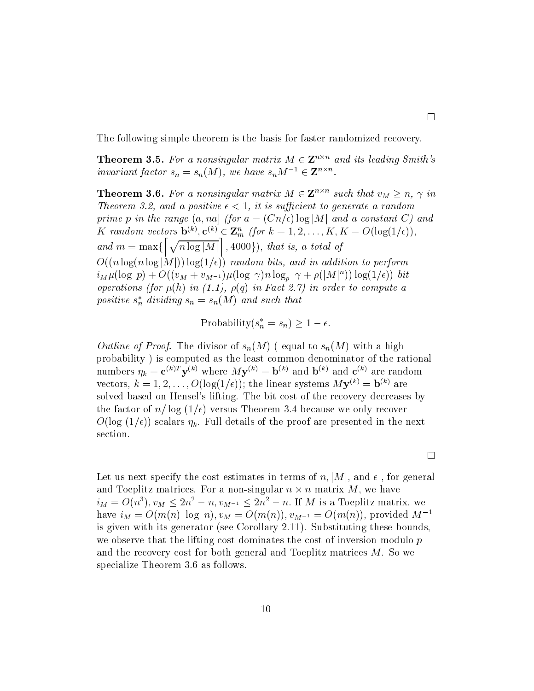The following simple theorem is the basis for faster randomized recovery.

**Theorem 3.5.** For a nonsingular matrix  $M \in \mathbb{Z}^{n \times n}$  and its leading Smith's invariant factor  $s_n = s_n(M)$ , we have  $s_n M^{-1} \in \mathbf{Z}^{n \times n}$ .

**Theorem 3.6.** For a nonsingular matrix  $M \in \mathbb{Z}^{n \times n}$  such that  $v_M \geq n$ ,  $\gamma$  in Theorem 3.2, and a positive  $\epsilon < 1$ , it is sufficient to generate a random prime p in the range  $(a, na)$  (for  $a = (Cn/\epsilon) \log|M|$  and a constant C) and K random vectors  $\mathbf{b}^{(k)}$ ,  $\mathbf{c}^{(k)} \in \mathbf{Z}_m^n$  (for  $k = 1, 2, ..., K, K = O(\log(1/\epsilon)),$ <br>and  $m = \max\{\left[\sqrt{n \log|M|}\right], 4000\}$ ), that is, a total of  $O((n \log(n \log |M|)) \log(1/\epsilon))$  random bits, and in addition to perform  $i_M \mu(\log p) + O((v_M + v_{M^{-1}}) \mu(\log \gamma) n \log_p \gamma + \rho(|M|^n)) \log(1/\epsilon))$  bit operations (for  $\mu(h)$  in (1.1),  $\rho(q)$  in Fact 2.7) in order to compute a positive  $s_n^*$  dividing  $s_n = s_n(M)$  and such that

Probability $(s_n^* = s_n) \geq 1 - \epsilon$ .

*Outline of Proof.* The divisor of  $s_n(M)$  (equal to  $s_n(M)$  with a high probability) is computed as the least common denominator of the rational numbers  $\eta_k = \mathbf{c}^{(k)T} \mathbf{y}^{(k)}$  where  $M\mathbf{y}^{(k)} = \mathbf{b}^{(k)}$  and  $\mathbf{b}^{(k)}$  and  $\mathbf{c}^{(k)}$  are random vectors,  $k = 1, 2, ..., O(\log(1/\epsilon))$ ; the linear systems  $M\mathbf{y}^{(k)} = \mathbf{b}^{(k)}$  are solved based on Hensel's lifting. The bit cost of the recovery decreases by the factor of  $n/\log(1/\epsilon)$  versus Theorem 3.4 because we only recover  $O(\log (1/\epsilon))$  scalars  $\eta_k$ . Full details of the proof are presented in the next section.

 $\Box$ 

Let us next specify the cost estimates in terms of n, |M|, and  $\epsilon$ , for general and Toeplitz matrices. For a non-singular  $n \times n$  matrix M, we have  $i_M = O(n^3), v_M \leq 2n^2 - n$ ,  $v_{M^{-1}} \leq 2n^2 - n$ . If M is a Toeplitz matrix, we have  $i_M = O(m(n) \log n)$ ,  $v_M = O(m(n))$ ,  $v_{M^{-1}} = O(m(n))$ , provided  $M^{-1}$ is given with its generator (see Corollary 2.11). Substituting these bounds, we observe that the lifting cost dominates the cost of inversion modulo  $p$ and the recovery cost for both general and Toeplitz matrices  $M$ . So we specialize Theorem 3.6 as follows.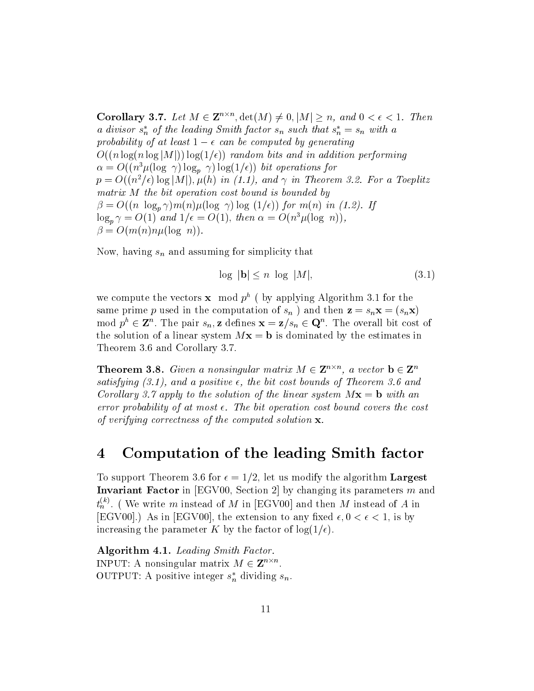**Corollary 3.7.** Let  $M \in \mathbb{Z}^{n \times n}$ ,  $\det(M) \neq 0$ ,  $|M| \geq n$ , and  $0 < \epsilon < 1$ . Then a divisor  $s_n^*$  of the leading Smith factor  $s_n$  such that  $s_n^* = s_n$  with a probability of at least  $1 - \epsilon$  can be computed by generating  $O((n \log(n \log |M|)) \log(1/\epsilon))$  random bits and in addition performing  $\alpha = O((n^3 \mu (\log \gamma) \log_p \gamma) \log(1/\epsilon))$  bit operations for  $p = O((n^2/\epsilon) \log|M|), \mu(h)$  in (1.1), and  $\gamma$  in Theorem 3.2. For a Toeplitz matrix M the bit operation cost bound is bounded by  $\beta = O((n \log_p \gamma)m(n)\mu(\log \gamma) \log (1/\epsilon)) \text{ for } m(n) \text{ in (1.2). If}$  $\log_p \gamma = O(1)$  and  $1/\epsilon = O(1)$ , then  $\alpha = O(n^3 \mu(\log n))$ ,  $\beta = O(m(n)n\mu(\log n)).$ 

Now, having  $s_n$  and assuming for simplicity that

$$
\log |\mathbf{b}| \le n \log |M|,\tag{3.1}
$$

we compute the vectors **x** mod  $p^h$  (by applying Algorithm 3.1 for the same prime p used in the computation of  $s_n$  ) and then  $z = s_n x = (s_n x)$ mod  $p^h \in \mathbb{Z}^n$ . The pair  $s_n$ , z defines  $\mathbf{x} = \mathbf{z}/s_n \in \mathbb{Q}^n$ . The overall bit cost of the solution of a linear system  $Mx = b$  is dominated by the estimates in Theorem 3.6 and Corollary 3.7.

**Theorem 3.8.** Given a nonsingular matrix  $M \in \mathbb{Z}^{n \times n}$ , a vector  $\mathbf{b} \in \mathbb{Z}^n$ satisfying  $(3.1)$ , and a positive  $\epsilon$ , the bit cost bounds of Theorem 3.6 and Corollary 3.7 apply to the solution of the linear system  $Mx = b$  with an error probability of at most  $\epsilon$ . The bit operation cost bound covers the cost of verifying correctness of the computed solution  $\mathbf{x}$ .

#### Computation of the leading Smith factor  $\boldsymbol{4}$

To support Theorem 3.6 for  $\epsilon = 1/2$ , let us modify the algorithm Largest **Invariant Factor** in [EGV00, Section 2] by changing its parameters  $m$  and  $t_n^{(k)}$ . (We write m instead of M in [EGV00] and then M instead of A in [EGV00].) As in [EGV00], the extension to any fixed  $\epsilon, 0 < \epsilon < 1$ , is by increasing the parameter K by the factor of  $log(1/\epsilon)$ .

**Algorithm 4.1.** Leading Smith Factor. INPUT: A nonsingular matrix  $M \in \mathbf{Z}^{n \times n}$ . OUTPUT: A positive integer  $s_n^*$  dividing  $s_n$ .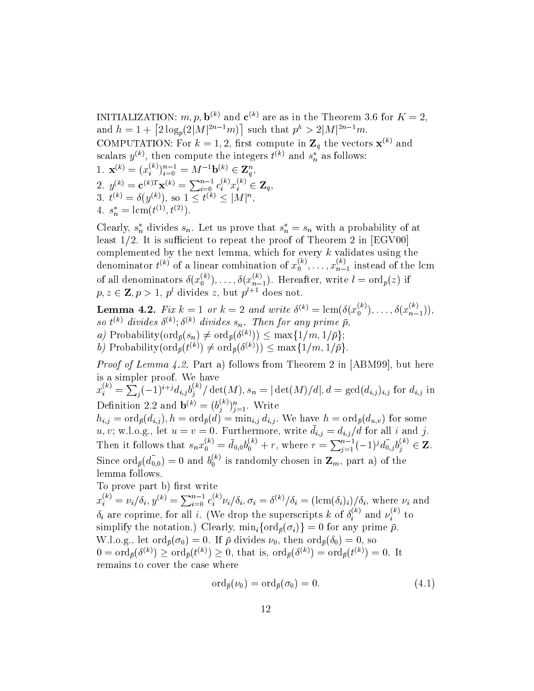INITIALIZATION: m, p,  $\mathbf{b}^{(k)}$  and  $\mathbf{c}^{(k)}$  are as in the Theorem 3.6 for  $K = 2$ . and  $h = 1 + \left[2 \log_p(2|M|^{2n-1}m)\right]$  such that  $p^h > 2|M|^{2n-1}m$ . COMPUTATION: For  $k = 1, 2$ , first compute in  $\mathbf{Z}_q$  the vectors  $\mathbf{x}^{(k)}$  and scalars  $y^{(k)}$ , then compute the integers  $t^{(k)}$  and  $s_n^*$  as follows: 1.  $\mathbf{x}^{(k)} = (x_i^{(k)})_{i=0}^{n-1} = M^{-1} \mathbf{b}^{(k)} \in \mathbf{Z}_q^n$ ,<br>
2.  $y^{(k)} = \mathbf{c}^{(k)T} \mathbf{x}^{(k)} = \sum_{i=0}^{n-1} c_i^{(k)} x_i^{(k)} \in \mathbf{Z}_q$ ,<br>
3.  $t^{(k)} = \delta(y^{(k)})$ , so  $1 \le t^{(k)} \le |M|^n$ , 4.  $s_n^* = \text{lcm}(t^{(1)}, t^{(2)})$ .

Clearly,  $s_n^*$  divides  $s_n$ . Let us prove that  $s_n^* = s_n$  with a probability of at least  $1/2$ . It is sufficient to repeat the proof of Theorem 2 in [EGV00] complemented by the next lemma, which for every k validates using the denominator  $t^{(k)}$  of a linear combination of  $x_0^{(k)}, \ldots, x_{n-1}^{(k)}$  instead of the lcm of all denominators  $\delta(x_0^{(k)}), \ldots, \delta(x_{n-1}^{(k)})$ . Hereafter, write  $l = \text{ord}_p(z)$  if  $p, z \in \mathbb{Z}, p > 1, p^l$  divides z, but  $p^{l+1}$  does not.

**Lemma 4.2.** Fix  $k = 1$  or  $k = 2$  and write  $\delta^{(k)} = \text{lcm}(\delta(x_0^{(k)}), \ldots, \delta(x_{n-1}^{(k)})),$ so  $t^{(k)}$  divides  $\delta^{(k)}$ ;  $\delta^{(k)}$  divides  $s_n$ . Then for any prime  $\bar{p}$ , a) Probability  $(\text{ord}_{\bar{p}}(s_n) \neq \text{ord}_{\bar{p}}(\delta^{(k)})) \leq \max\{1/m, 1/\bar{p}\};$ b) Probability( $\text{ord}_{\bar{p}}(t^{(k)}) \neq \text{ord}_{\bar{p}}(\delta^{(k)})) \leq \max\{1/m, 1/\bar{p}\}.$ 

*Proof of Lemma 4.2.* Part a) follows from Theorem 2 in [ABM99], but here is a simpler proof. We have

 $x_i^{(k)} = \sum_j (-1)^{i+j} d_{i,j} b_j^{(k)} / \det(M), s_n = |\det(M)/d|, d = \gcd(d_{i,j})_{i,j}$  for  $d_{i,j}$  in Definition 2.2 and  $\mathbf{b}^{(k)} = (b_j^{(k)})_{j=1}^n$ . Write

 $h_{i,j} = \text{ord}_{\bar{p}}(d_{i,j}), h = \text{ord}_{\bar{p}}(d) = \text{min}_{i,j} d_{i,j}.$  We have  $h = \text{ord}_{\bar{p}}(d_{u,v})$  for some *u*, *v*; w.l.o.g., let  $u = v = 0$ . Furthermore, write  $\bar{d}_{i,j} = d_{i,j}/d$  for all *i* and *j*.<br>Then it follows that  $s_n x_0^{(k)} = \bar{d}_{0,0} b_0^{(k)} + r$ , where  $r = \sum_{j=1}^{n-1} (-1)^j \bar{d}_{0,j} b_j^{(k)} \in \mathbb{Z}$ . Since  $\text{ord}_{\bar{p}}(\bar{d}_{0,0})=0$  and  $b_0^{(k)}$  is randomly chosen in  $\mathbf{Z}_m$ , part a) of the lemma follows.

To prove part b) first write

 $x_i^{(k)} = \nu_i / \delta_i, y^{(k)} = \sum_{i=0}^{n-1} c_i^{(k)} \nu_i / \delta_i, \sigma_i = \delta^{(k)} / \delta_i = (\text{lcm}(\delta_i)_i) / \delta_i$ , where  $\nu_i$  and  $\delta_i$  are coprime, for all *i*. (We drop the superscripts *k* of  $\delta_i^{(k)}$  and  $\nu_i^{(k)}$  to simplify the notation.) Clearly,  $\min_i \{ \text{ord}_{\bar{p}}(\sigma_i) \} = 0$  for any prime  $\bar{p}$ . W.l.o.g., let  $\text{ord}_{\bar{p}}(\sigma_0) = 0$ . If  $\bar{p}$  divides  $\nu_0$ , then  $\text{ord}_{\bar{p}}(\delta_0) = 0$ , so  $0 = \text{ord}_{\bar{p}}(\delta^{(k)}) \geq \text{ord}_{\bar{p}}(t^{(k)}) \geq 0$ , that is,  $\text{ord}_{\bar{p}}(\delta^{(k)}) = \text{ord}_{\bar{p}}(t^{(k)}) = 0$ . It remains to cover the case where

$$
\operatorname{ord}_{\bar{p}}(\nu_0) = \operatorname{ord}_{\bar{p}}(\sigma_0) = 0. \tag{4.1}
$$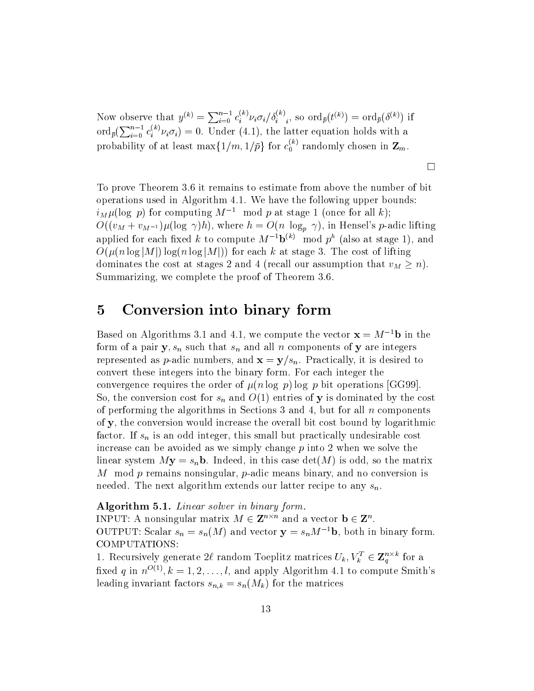Now observe that  $y^{(k)} = \sum_{i=0}^{n-1} c_i^{(k)} \nu_i \sigma_i / \delta_i^{(k)}$ , so  $\text{ord}_{\bar{p}}(t^{(k)}) = \text{ord}_{\bar{p}}(\delta^{(k)})$  if  $\text{ord}_{\bar{p}}(\sum_{i=0}^{n-1} c_i^{(k)} \nu_i \sigma_i) = 0$ . Under (4.1), the latter equation holds with a probability of at least  $\max\{1/m, 1/\bar{p}\}\$ for  $c_0^{(k)}$  randomly chosen in  $\mathbf{Z}_m$ .

To prove Theorem 3.6 it remains to estimate from above the number of bit operations used in Algorithm 4.1. We have the following upper bounds:  $i_M \mu(\log p)$  for computing  $M^{-1}$  mod p at stage 1 (once for all k);  $O((v_M + v_{M^{-1}})\mu(\log \gamma)h)$ , where  $h = O(n \log_p \gamma)$ , in Hensel's p-adic lifting applied for each fixed k to compute  $M^{-1}b^{(k)}$  mod  $p^h$  (also at stage 1), and  $O(\mu(n \log|M|) \log(n \log|M|))$  for each k at stage 3. The cost of lifting dominates the cost at stages 2 and 4 (recall our assumption that  $v_M > n$ ). Summarizing, we complete the proof of Theorem 3.6.

 $\Box$ 

### $\overline{5}$ Conversion into binary form

Based on Algorithms 3.1 and 4.1, we compute the vector  $\mathbf{x} = M^{-1}\mathbf{b}$  in the form of a pair  $y, s_n$  such that  $s_n$  and all n components of y are integers represented as *p*-adic numbers, and  $\mathbf{x} = \mathbf{y}/s_n$ . Practically, it is desired to convert these integers into the binary form. For each integer the convergence requires the order of  $\mu(n \log p) \log p$  bit operations [GG99]. So, the conversion cost for  $s_n$  and  $O(1)$  entries of y is dominated by the cost of performing the algorithms in Sections 3 and 4, but for all  $n$  components of y, the conversion would increase the overall bit cost bound by logarithmic factor. If  $s_n$  is an odd integer, this small but practically undesirable cost increase can be avoided as we simply change  $p$  into 2 when we solve the linear system  $My = s_n b$ . Indeed, in this case  $\det(M)$  is odd, so the matrix M mod p remains nonsingular, p-adic means binary, and no conversion is needed. The next algorithm extends our latter recipe to any  $s_n$ 

## **Algorithm 5.1.** Linear solver in binary form.

INPUT: A nonsingular matrix  $M \in \mathbb{Z}^{n \times n}$  and a vector  $\mathbf{b} \in \mathbb{Z}^n$ . OUTPUT: Scalar  $s_n = s_n(M)$  and vector  $\mathbf{y} = s_n M^{-1} \mathbf{b}$ , both in binary form. COMPUTATIONS:

1. Recursively generate 2l random Toeplitz matrices  $U_k, V_k^T \in \mathbf{Z}_q^{n \times k}$  for a fixed q in  $n^{O(1)}$ ,  $k = 1, 2, ..., l$ , and apply Algorithm 4.1 to compute Smith's leading invariant factors  $s_{n,k} = s_n(M_k)$  for the matrices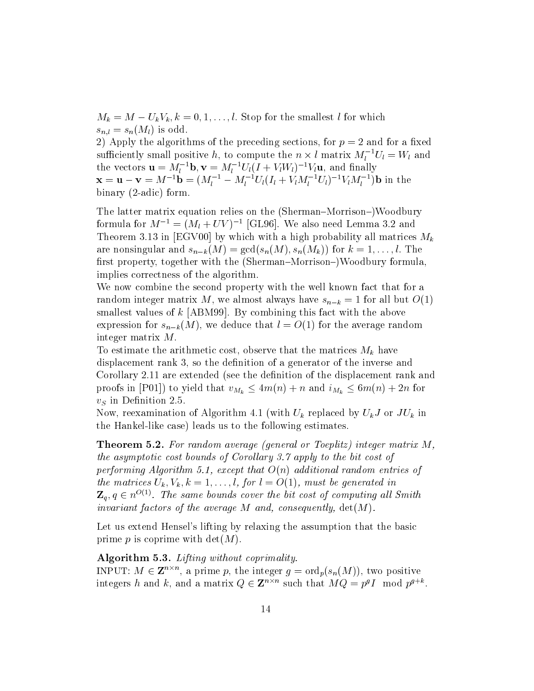$M_k = M - U_k V_k, k = 0, 1, \ldots, l.$  Stop for the smallest l for which  $s_{n,l} = s_n(M_l)$  is odd.

2) Apply the algorithms of the preceding sections, for  $p = 2$  and for a fixed sufficiently small positive h, to compute the  $n \times l$  matrix  $M_l^{-1}U_l = W_l$  and the vectors  $\mathbf{u} = \hat{M}_l^{-1} \mathbf{b}$ ,  $\mathbf{v} = M_l^{-1} U_l (I + V_l W_l)^{-1} V_l \mathbf{u}$ , and finally<br>  $\mathbf{x} = \mathbf{u} - \mathbf{v} = M^{-1} \mathbf{b} = (M_l^{-1} - M_l^{-1} U_l (I_l + V_l M_l^{-1} U_l)^{-1} V_l M_l^{-1}) \mathbf{b}$  in the binary  $(2\text{-adic})$  form.

The latter matrix equation relies on the (Sherman–Morrison–)Woodbury formula for  $M^{-1} = (M_l + UV)^{-1}$  [GL96]. We also need Lemma 3.2 and Theorem 3.13 in [EGV00] by which with a high probability all matrices  $M_k$ are nonsingular and  $s_{n-k}(M) = \gcd(s_n(M), s_n(M_k))$  for  $k = 1, \ldots, l$ . The first property, together with the (Sherman–Morrison–)Woodbury formula, implies correctness of the algorithm.

We now combine the second property with the well known fact that for a random integer matrix M, we almost always have  $s_{n-k} = 1$  for all but  $O(1)$ smallest values of  $k$  [ABM99]. By combining this fact with the above expression for  $s_{n-k}(M)$ , we deduce that  $l = O(1)$  for the average random integer matrix  $M$ .

To estimate the arithmetic cost, observe that the matrices  $M_k$  have displacement rank 3, so the definition of a generator of the inverse and Corollary 2.11 are extended (see the definition of the displacement rank and proofs in [P01]) to yield that  $v_{M_k} \leq 4m(n) + n$  and  $i_{M_k} \leq 6m(n) + 2n$  for  $v_S$  in Definition 2.5.

Now, reexamination of Algorithm 4.1 (with  $U_k$  replaced by  $U_k J$  or  $J U_k$  in the Hankel-like case) leads us to the following estimates.

**Theorem 5.2.** For random average (general or Toeplitz) integer matrix  $M$ , the asymptotic cost bounds of Corollary 3.7 apply to the bit cost of performing Algorithm 5.1, except that  $O(n)$  additional random entries of the matrices  $U_k$ ,  $V_k$ ,  $k = 1, ..., l$ , for  $l = O(1)$ , must be generated in  $\mathbf{Z}_q, q \in n^{O(1)}$ . The same bounds cover the bit cost of computing all Smith invariant factors of the average  $M$  and, consequently,  $det(M)$ .

Let us extend Hensel's lifting by relaxing the assumption that the basic prime p is coprime with  $det(M)$ .

Algorithm 5.3. Lifting without coprimality. INPUT:  $M \in \mathbb{Z}^{n \times n}$ , a prime p, the integer  $g = \text{ord}_p(s_n(M))$ , two positive integers h and k, and a matrix  $Q \in \mathbb{Z}^{n \times n}$  such that  $MQ = p^g I \mod p^{g+k}$ .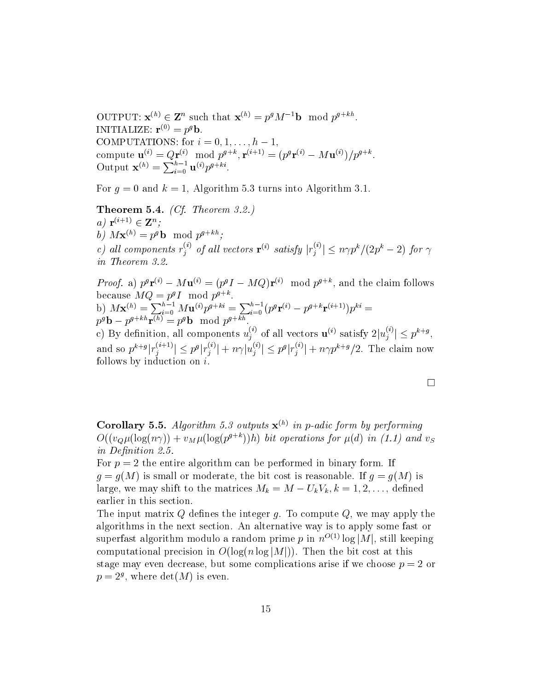OUTPUT:  $\mathbf{x}^{(h)} \in \mathbf{Z}^n$  such that  $\mathbf{x}^{(h)} = p^g M^{-1} \mathbf{b} \mod p^{g+kh}$ . INITIALIZE:  $\mathbf{r}^{(0)} = p^g \mathbf{b}$ . COMPUTATIONS: for  $i = 0, 1, ..., h - 1$ , compute  $\mathbf{u}^{(i)} = Q\mathbf{r}^{(i)} \mod p^{g+k}, \mathbf{r}^{(i+1)} = (p^g\mathbf{r}^{(i)} - M\mathbf{u}^{(i)})/p^{g+k}.$ <br>Output  $\mathbf{x}^{(h)} = \sum_{i=0}^{h-1} \mathbf{u}^{(i)}p^{g+ki}.$ 

For  $q = 0$  and  $k = 1$ , Algorithm 5.3 turns into Algorithm 3.1.

**Theorem 5.4.** *(Cf. Theorem 3.2.)* a)  ${\bf r}^{(i+1)} \in {\bf Z}^n$ ; b)  $M\mathbf{x}^{(h)} = p^g \mathbf{b} \mod p^{g+kh}$ ; c) all components  $r_j^{(i)}$  of all vectors  $\mathbf{r}^{(i)}$  satisfy  $|r_j^{(i)}| \le n \gamma p^k / (2p^k - 2)$  for  $\gamma$ in Theorem 3.2.

*Proof.* a)  $p^g \mathbf{r}^{(i)} - M \mathbf{u}^{(i)} = (p^g I - MQ)\mathbf{r}^{(i)} \mod p^{g+k}$ , and the claim follows because  $MQ = p^g I \mod p^{g+k}$ .<br>
b)  $M\mathbf{x}^{(h)} = \sum_{i=0}^{h-1} M\mathbf{u}^{(i)} p^{g+ki} = \sum_{i=0}^{h-1} (p^g \mathbf{r}^{(i)} - p^{g+k} \mathbf{r}^{(i+1)}) p^{ki} =$ <br>  $p^g \mathbf{b} - p^{g+kh} \mathbf{r}^{(h)} = p^g \mathbf{b} \mod p^{g+kh}$ . c) By definition, all components  $u_j^{(i)}$  of all vectors  $\mathbf{u}^{(i)}$  satisfy  $2|u_j^{(i)}| \le p^{k+g}$ ,<br>and so  $p^{k+g}|r_j^{(i+1)}| \le p^g|r_j^{(i)}| + n\gamma |u_j^{(i)}| \le p^g|r_j^{(i)}| + n\gamma p^{k+g}/2$ . The claim now follows by induction on  $i$ .

**Corollary 5.5.** Algorithm 5.3 outputs  $\mathbf{x}^{(h)}$  in p-adic form by performing  $O((v_0 \mu (\log(n\gamma)) + v_M \mu (\log(p^{g+k}))h)$  bit operations for  $\mu(d)$  in (1.1) and  $v_S$ in Definition 2.5.

For  $p = 2$  the entire algorithm can be performed in binary form. If  $g = g(M)$  is small or moderate, the bit cost is reasonable. If  $g = g(M)$  is large, we may shift to the matrices  $M_k = M - U_k V_k, k = 1, 2, ...,$  defined earlier in this section.

The input matrix Q defines the integer g. To compute  $Q$ , we may apply the algorithms in the next section. An alternative way is to apply some fast or superfast algorithm modulo a random prime p in  $n^{O(1)} \log |M|$ , still keeping computational precision in  $O(\log(n \log|M|))$ . Then the bit cost at this stage may even decrease, but some complications arise if we choose  $p = 2$  or  $p=2<sup>g</sup>$ , where  $det(M)$  is even.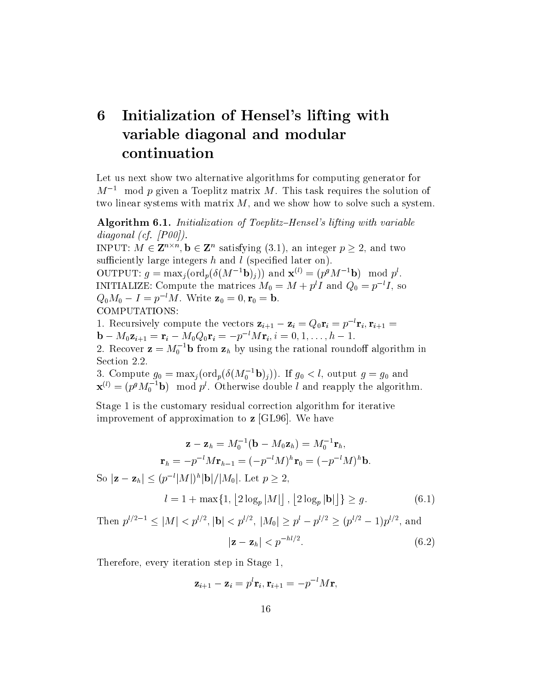# 6 Initialization of Hensel's lifting with variable diagonal and modular continuation

Let us next show two alternative algorithms for computing generator for  $M^{-1}$  mod p given a Toeplitz matrix M. This task requires the solution of two linear systems with matrix  $M$ , and we show how to solve such a system.

**Algorithm 6.1.** Initialization of Toeplitz-Hensel's lifting with variable diagonal (cf.  $[PO0]$ ). INPUT:  $M \in \mathbb{Z}^{n \times n}$ ,  $\mathbf{b} \in \mathbb{Z}^n$  satisfying (3.1), an integer  $p \geq 2$ , and two sufficiently large integers  $h$  and  $l$  (specified later on). OUTPUT:  $g = \max_i(\text{ord}_p(\delta(M^{-1}\mathbf{b})_i))$  and  $\mathbf{x}^{(i)} = (p^g M^{-1}\mathbf{b}) \mod p^i$ . INITIALIZE: Compute the matrices  $M_0 = M + p^l I$  and  $Q_0 = p^{-l} I$ , so  $Q_0 M_0 - I = p^{-l} M$ . Write  $\mathbf{z}_0 = 0, \mathbf{r}_0 = \mathbf{b}$ . COMPUTATIONS: 1. Recursively compute the vectors  $\mathbf{z}_{i+1} - \mathbf{z}_i = Q_0 \mathbf{r}_i = p^{-l} \mathbf{r}_i, \mathbf{r}_{i+1} =$ 

 $\mathbf{b} - M_0 \mathbf{z}_{i+1} = \mathbf{r}_i - M_0 Q_0 \mathbf{r}_i = -p^{-l} M \mathbf{r}_i, i = 0, 1, \dots, h-1.$ 2. Recover  $\mathbf{z} = M_0^{-1} \mathbf{b}$  from  $\mathbf{z}_h$  by using the rational roundoff algorithm in

Section 2.2.

3. Compute  $g_0 = \max_j (\text{ord}_p(\delta(M_0^{-1} \mathbf{b})_j))$ . If  $g_0 < l$ , output  $g = g_0$  and  $\mathbf{x}^{(l)} = (p^g M_0^{-1} \mathbf{b}) \mod p^l$ . Otherwise double *l* and reapply the algorithm.

Stage 1 is the customary residual correction algorithm for iterative improvement of approximation to  $z$  [GL96]. We have

$$
\mathbf{z} - \mathbf{z}_h = M_0^{-1}(\mathbf{b} - M_0 \mathbf{z}_h) = M_0^{-1} \mathbf{r}_h,
$$
  
\n
$$
\mathbf{r}_h = -p^{-l} M \mathbf{r}_{h-1} = (-p^{-l} M)^h \mathbf{r}_0 = (-p^{-l} M)^h \mathbf{b}.
$$
  
\nSo  $|\mathbf{z} - \mathbf{z}_h| \le (p^{-l} |M|)^h |\mathbf{b}| / |M_0|$ . Let  $p \ge 2$ ,  
\n
$$
l = 1 + \max\{1, \lfloor 2 \log_p |M| \rfloor, \lfloor 2 \log_p |\mathbf{b}| \rfloor\} \ge g.
$$
 (6.1)

Then  $p^{l/2-1} \leq |M| < p^{l/2}$ ,  $|\mathbf{b}| < p^{l/2}$ ,  $|M_0| \geq p^l - p^{l/2} \geq (p^{l/2} - 1)p^{l/2}$ , and  $|\mathbf{z} - \mathbf{z}_h| < p^{-hl/2}$ .  $(6.2)$ 

Therefore, every iteration step in Stage 1,

$$
\mathbf{z}_{i+1} - \mathbf{z}_i = p^l \mathbf{r}_i, \mathbf{r}_{i+1} = -p^{-l} M \mathbf{r},
$$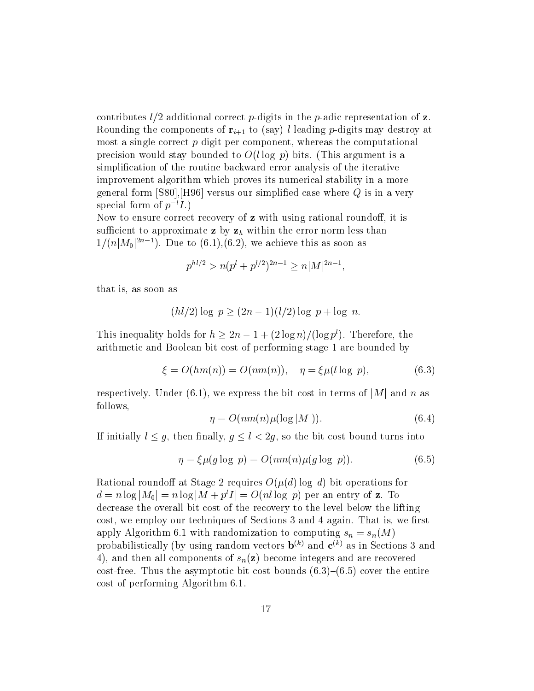contributes  $l/2$  additional correct p-digits in the p-adic representation of z. Rounding the components of  $\mathbf{r}_{i+1}$  to (say) l leading *p*-digits may destroy at most a single correct  $p$ -digit per component, whereas the computational precision would stay bounded to  $O(l \log p)$  bits. (This argument is a simplification of the routine backward error analysis of the iterative improvement algorithm which proves its numerical stability in a more general form [S80], [H96] versus our simplified case where  $Q$  is in a very special form of  $p^{-l}I$ .)

Now to ensure correct recovery of **z** with using rational roundoff, it is sufficient to approximate z by  $z_h$  within the error norm less than  $1/(n|M_0|^{2n-1})$ . Due to (6.1),(6.2), we achieve this as soon as

$$
p^{hl/2} > n(p^l + p^{l/2})^{2n-1} \ge n|M|^{2n-1},
$$

that is, as soon as

$$
(hl/2)\log p \ge (2n-1)(l/2)\log p + \log n
$$

This inequality holds for  $h \geq 2n - 1 + (2 \log n)/(\log p^l)$ . Therefore, the arithmetic and Boolean bit cost of performing stage 1 are bounded by

$$
\xi = O(hm(n)) = O(nm(n)), \quad \eta = \xi \mu(l \log p), \tag{6.3}
$$

respectively. Under (6.1), we express the bit cost in terms of  $|M|$  and n as follows,

$$
\eta = O(nm(n)\mu(\log|M|)).\tag{6.4}
$$

If initially  $l \leq g$ , then finally,  $g \leq l < 2g$ , so the bit cost bound turns into

$$
\eta = \xi \mu(g \log p) = O(nm(n)\mu(g \log p)).\tag{6.5}
$$

Rational roundoff at Stage 2 requires  $O(\mu(d) \log d)$  bit operations for  $d = n \log|M_0| = n \log|M + p^l I| = O(nl \log p)$  per an entry of z. To decrease the overall bit cost of the recovery to the level below the lifting cost, we employ our techniques of Sections 3 and 4 again. That is, we first apply Algorithm 6.1 with randomization to computing  $s_n = s_n(M)$ probabilistically (by using random vectors  $\mathbf{b}^{(k)}$  and  $\mathbf{c}^{(k)}$  as in Sections 3 and 4), and then all components of  $s_n(z)$  become integers and are recovered cost-free. Thus the asymptotic bit cost bounds  $(6.3)$ – $(6.5)$  cover the entire cost of performing Algorithm 6.1.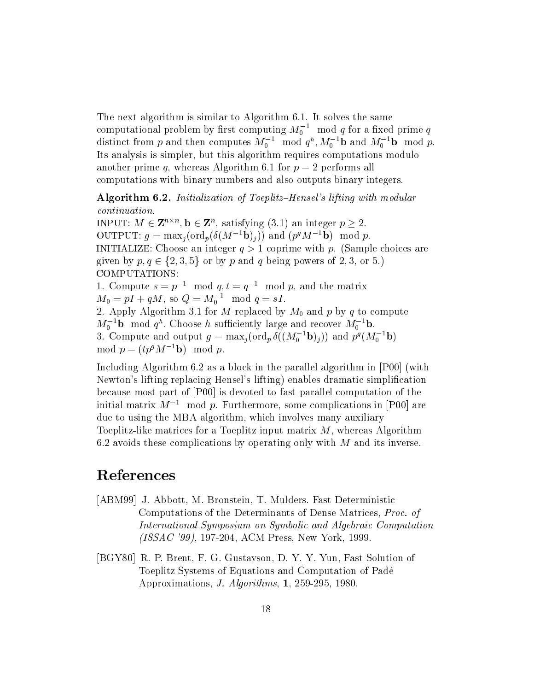The next algorithm is similar to Algorithm 6.1. It solves the same computational problem by first computing  $M_0^{-1}$  mod q for a fixed prime q<br>distinct from p and then computes  $M_0^{-1}$  mod  $q^h$ ,  $M_0^{-1}$ **b** and  $M_0^{-1}$ **b** mod p. Its analysis is simpler, but this algorithm requires computations modulo another prime q, whereas Algorithm 6.1 for  $p = 2$  performs all computations with binary numbers and also outputs binary integers.

Algorithm 6.2. Initialization of Toeplitz-Hensel's lifting with modular  $continuation.$ 

INPUT:  $M \in \mathbf{Z}^{n \times n}$ ,  $\mathbf{b} \in \mathbf{Z}^n$ , satisfying (3.1) an integer  $p > 2$ . OUTPUT:  $q = \max_i(\text{ord}_n(\delta(M^{-1}\mathbf{b})_i))$  and  $(p^gM^{-1}\mathbf{b}) \mod p$ . INITIALIZE: Choose an integer  $q > 1$  coprime with p. (Sample choices are given by  $p, q \in \{2, 3, 5\}$  or by p and q being powers of 2, 3, or 5.) COMPUTATIONS: 1. Compute  $s = p^{-1} \mod q, t = q^{-1} \mod p$ , and the matrix  $M_0 = pI + qM$ , so  $Q = M_0^{-1} \mod q = sI$ . 2. Apply Algorithm 3.1 for M replaced by  $M_0$  and p by q to compute  $M_0^{-1}$ **b** mod  $q^h$ . Choose h sufficiently large and recover  $M_0^{-1}$ **b**. 3. Compute and output  $g = \max_i(\text{ord}_p \, \delta((M_0^{-1} \mathbf{b})_i))$  and  $p^g(M_0^{-1} \mathbf{b})$ mod  $p = (tp^g M^{-1}b) \mod p$ .

Including Algorithm 6.2 as a block in the parallel algorithm in [P00] (with Newton's lifting replacing Hensel's lifting) enables dramatic simplification because most part of [P00] is devoted to fast parallel computation of the initial matrix  $M^{-1}$  mod p. Furthermore, some complications in [P00] are due to using the MBA algorithm, which involves many auxiliary Toeplitz-like matrices for a Toeplitz input matrix  $M$ , whereas Algorithm 6.2 avoids these complications by operating only with  $M$  and its inverse.

# References

- [ABM99] J. Abbott, M. Bronstein, T. Mulders. Fast Deterministic Computations of the Determinants of Dense Matrices, Proc. of International Symposium on Symbolic and Algebraic Computation  $(ISSAC'99)$ , 197-204, ACM Press, New York, 1999.
- [BGY80] R. P. Brent, F. G. Gustavson, D. Y. Y. Yun, Fast Solution of Toeplitz Systems of Equations and Computation of Padé Approximations, *J. Algorithms*, **1**, 259-295, 1980.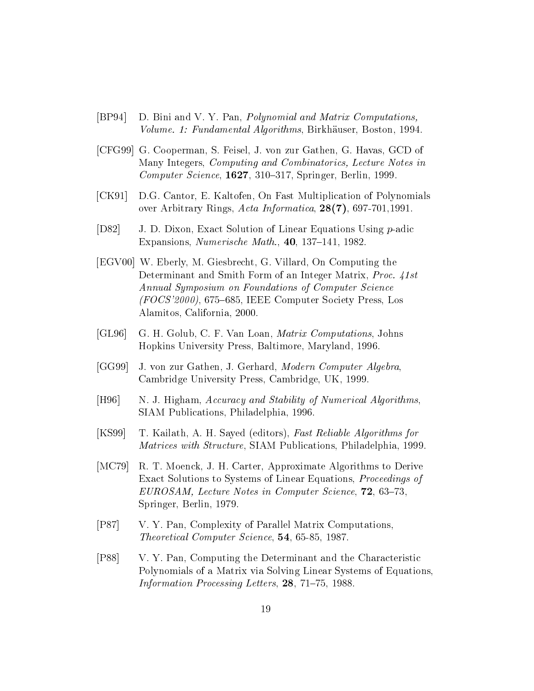- $[BP94]$ D. Bini and V. Y. Pan, *Polynomial and Matrix Computations*, Volume. 1: Fundamental Algorithms, Birkhäuser, Boston, 1994.
- [CFG99] G. Cooperman, S. Feisel, J. von zur Gathen, G. Havas, GCD of Many Integers, Computing and Combinatorics, Lecture Notes in Computer Science, 1627, 310–317, Springer, Berlin, 1999.
- $[CK91]$ D.G. Cantor, E. Kaltofen, On Fast Multiplication of Polynomials over Arbitrary Rings, Acta Informatica,  $28(7)$ , 697-701, 1991.
- $[D82]$ J. D. Dixon, Exact Solution of Linear Equations Using p-adic Expansions, *Numerische Math.*,  $40$ , 137–141, 1982.
- [EGV00] W. Eberly, M. Giesbrecht, G. Villard, On Computing the Determinant and Smith Form of an Integer Matrix, Proc. 41st Annual Symposium on Foundations of Computer Science  $(FOCS'2000)$ , 675–685, IEEE Computer Society Press, Los Alamitos, California, 2000.
- $[GL96]$ G. H. Golub, C. F. Van Loan, *Matrix Computations*, Johns Hopkins University Press, Baltimore, Maryland, 1996.
- $[GG99]$ J. von zur Gathen, J. Gerhard, Modern Computer Algebra, Cambridge University Press, Cambridge, UK, 1999.
- $[H96]$ N. J. Higham, Accuracy and Stability of Numerical Algorithms, SIAM Publications, Philadelphia, 1996.
- $[KS99]$ T. Kailath, A. H. Sayed (editors), Fast Reliable Algorithms for Matrices with Structure, SIAM Publications, Philadelphia, 1999.
- $[MC79]$ R. T. Moenck, J. H. Carter, Approximate Algorithms to Derive Exact Solutions to Systems of Linear Equations, Proceedings of EUROSAM, Lecture Notes in Computer Science, 72, 63-73, Springer, Berlin, 1979.
- $[P87]$ V. Y. Pan, Complexity of Parallel Matrix Computations, Theoretical Computer Science, 54, 65-85, 1987.
- $[P88]$ V. Y. Pan, Computing the Determinant and the Characteristic Polynomials of a Matrix via Solving Linear Systems of Equations, Information Processing Letters, 28, 71-75, 1988.